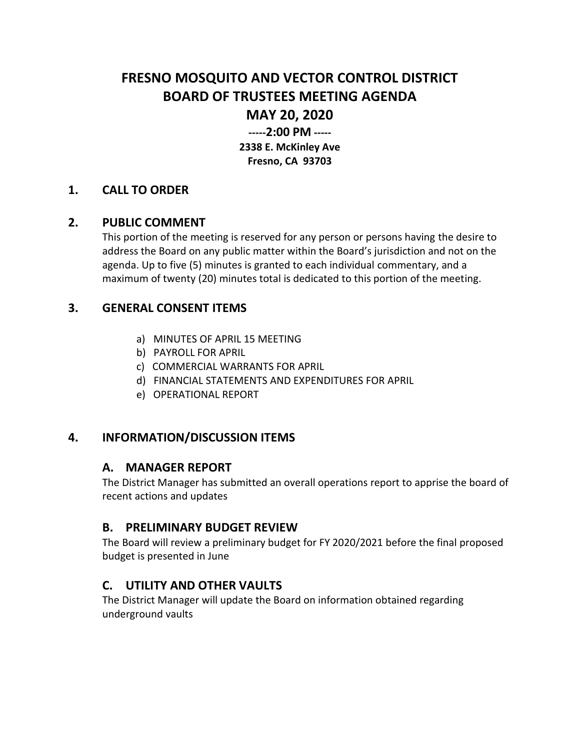# **FRESNO MOSQUITO AND VECTOR CONTROL DISTRICT BOARD OF TRUSTEES MEETING AGENDA**

# **MAY 20, 2020**

**-----2:00 PM ----- 2338 E. McKinley Ave Fresno, CA 93703**

#### **1. CALL TO ORDER**

#### **2. PUBLIC COMMENT**

This portion of the meeting is reserved for any person or persons having the desire to address the Board on any public matter within the Board's jurisdiction and not on the agenda. Up to five (5) minutes is granted to each individual commentary, and a maximum of twenty (20) minutes total is dedicated to this portion of the meeting.

#### **3. GENERAL CONSENT ITEMS**

- a) MINUTES OF APRIL 15 MEETING
- b) PAYROLL FOR APRIL
- c) COMMERCIAL WARRANTS FOR APRIL
- d) FINANCIAL STATEMENTS AND EXPENDITURES FOR APRIL
- e) OPERATIONAL REPORT

## **4. INFORMATION/DISCUSSION ITEMS**

#### **A. MANAGER REPORT**

The District Manager has submitted an overall operations report to apprise the board of recent actions and updates

#### **B. PRELIMINARY BUDGET REVIEW**

The Board will review a preliminary budget for FY 2020/2021 before the final proposed budget is presented in June

## **C. UTILITY AND OTHER VAULTS**

The District Manager will update the Board on information obtained regarding underground vaults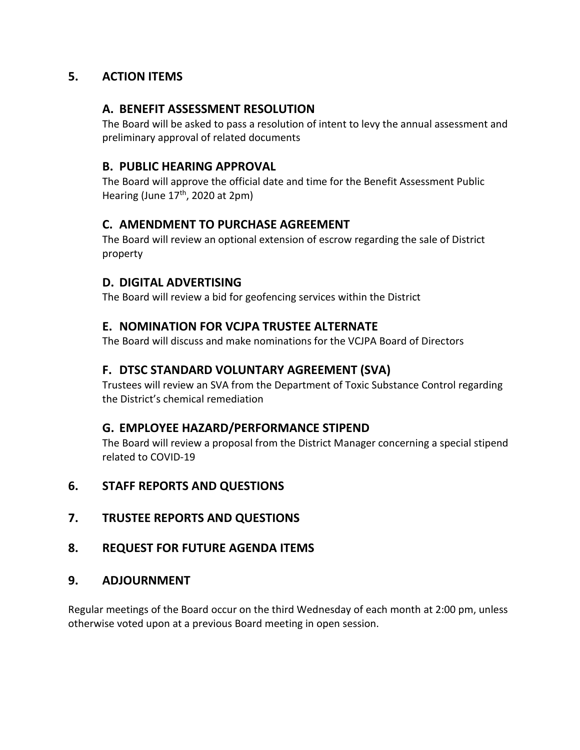## **5. ACTION ITEMS**

#### **A. BENEFIT ASSESSMENT RESOLUTION**

The Board will be asked to pass a resolution of intent to levy the annual assessment and preliminary approval of related documents

#### **B. PUBLIC HEARING APPROVAL**

The Board will approve the official date and time for the Benefit Assessment Public Hearing (June  $17<sup>th</sup>$ , 2020 at 2pm)

## **C. AMENDMENT TO PURCHASE AGREEMENT**

The Board will review an optional extension of escrow regarding the sale of District property

## **D. DIGITAL ADVERTISING**

The Board will review a bid for geofencing services within the District

## **E. NOMINATION FOR VCJPA TRUSTEE ALTERNATE**

The Board will discuss and make nominations for the VCJPA Board of Directors

## **F. DTSC STANDARD VOLUNTARY AGREEMENT (SVA)**

Trustees will review an SVA from the Department of Toxic Substance Control regarding the District's chemical remediation

## **G. EMPLOYEE HAZARD/PERFORMANCE STIPEND**

The Board will review a proposal from the District Manager concerning a special stipend related to COVID-19

## **6. STAFF REPORTS AND QUESTIONS**

**7. TRUSTEE REPORTS AND QUESTIONS**

## **8. REQUEST FOR FUTURE AGENDA ITEMS**

#### **9. ADJOURNMENT**

Regular meetings of the Board occur on the third Wednesday of each month at 2:00 pm, unless otherwise voted upon at a previous Board meeting in open session.